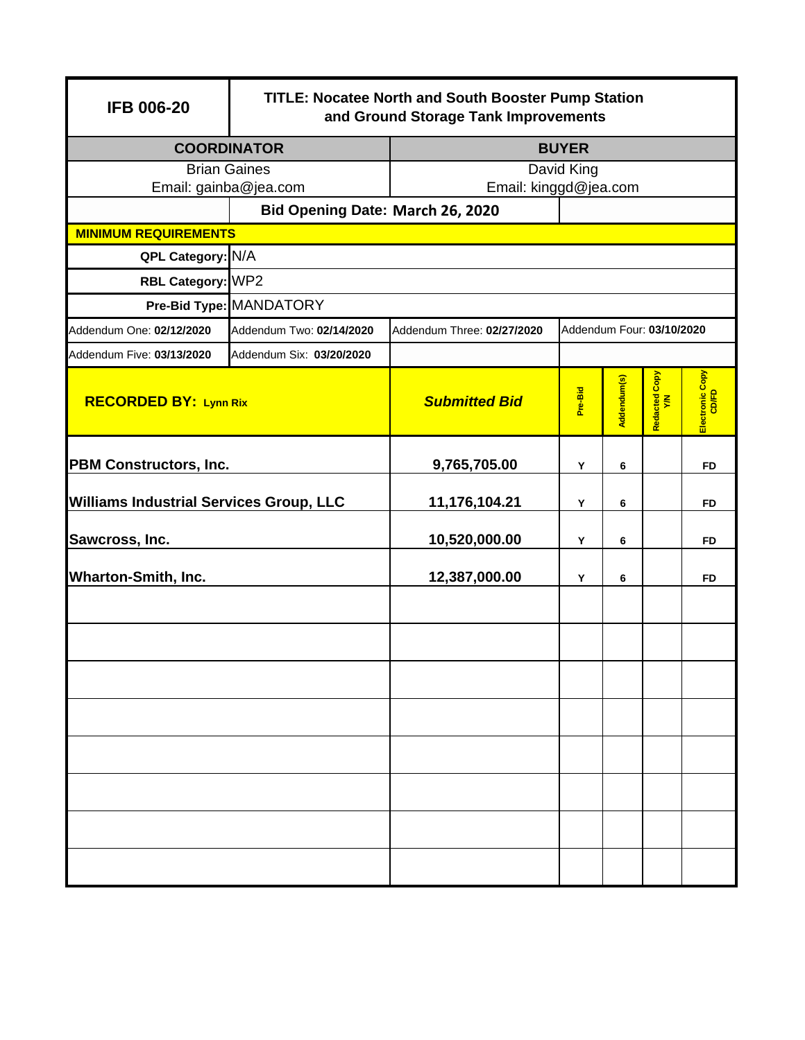| <b>IFB 006-20</b>                                         |                          | <b>TITLE: Nocatee North and South Booster Pump Station</b><br>and Ground Storage Tank Improvements |                                                |   |                           |           |  |  |
|-----------------------------------------------------------|--------------------------|----------------------------------------------------------------------------------------------------|------------------------------------------------|---|---------------------------|-----------|--|--|
| <b>COORDINATOR</b>                                        |                          | <b>BUYER</b>                                                                                       |                                                |   |                           |           |  |  |
| <b>Brian Gaines</b>                                       |                          | David King                                                                                         |                                                |   |                           |           |  |  |
| Email: gainba@jea.com<br>Bid Opening Date: March 26, 2020 |                          | Email: kinggd@jea.com                                                                              |                                                |   |                           |           |  |  |
| <b>MINIMUM REQUIREMENTS</b>                               |                          |                                                                                                    |                                                |   |                           |           |  |  |
| QPL Category: N/A                                         |                          |                                                                                                    |                                                |   |                           |           |  |  |
| RBL Category: WP2                                         |                          |                                                                                                    |                                                |   |                           |           |  |  |
|                                                           | Pre-Bid Type: MANDATORY  |                                                                                                    |                                                |   |                           |           |  |  |
| Addendum One: 02/12/2020                                  | Addendum Two: 02/14/2020 | Addendum Three: 02/27/2020                                                                         |                                                |   | Addendum Four: 03/10/2020 |           |  |  |
| Addendum Five: 03/13/2020                                 | Addendum Six: 03/20/2020 |                                                                                                    |                                                |   |                           |           |  |  |
| <b>RECORDED BY: Lynn Rix</b>                              |                          | <b>Submitted Bid</b>                                                                               | Redacted Copy<br>Y/N<br>Addendum(s)<br>Pre-Bid |   | Electronic Copy<br>CD/FD  |           |  |  |
| <b>PBM Constructors, Inc.</b>                             |                          | 9,765,705.00                                                                                       | Υ                                              | 6 |                           | <b>FD</b> |  |  |
| <b>Williams Industrial Services Group, LLC</b>            |                          | 11,176,104.21                                                                                      | Y                                              | 6 |                           | <b>FD</b> |  |  |
| Sawcross, Inc.                                            |                          | 10,520,000.00                                                                                      | Y                                              | 6 |                           | <b>FD</b> |  |  |
| <b>Wharton-Smith, Inc.</b>                                |                          | 12,387,000.00                                                                                      | Υ                                              | 6 |                           | <b>FD</b> |  |  |
|                                                           |                          |                                                                                                    |                                                |   |                           |           |  |  |
|                                                           |                          |                                                                                                    |                                                |   |                           |           |  |  |
|                                                           |                          |                                                                                                    |                                                |   |                           |           |  |  |
|                                                           |                          |                                                                                                    |                                                |   |                           |           |  |  |
|                                                           |                          |                                                                                                    |                                                |   |                           |           |  |  |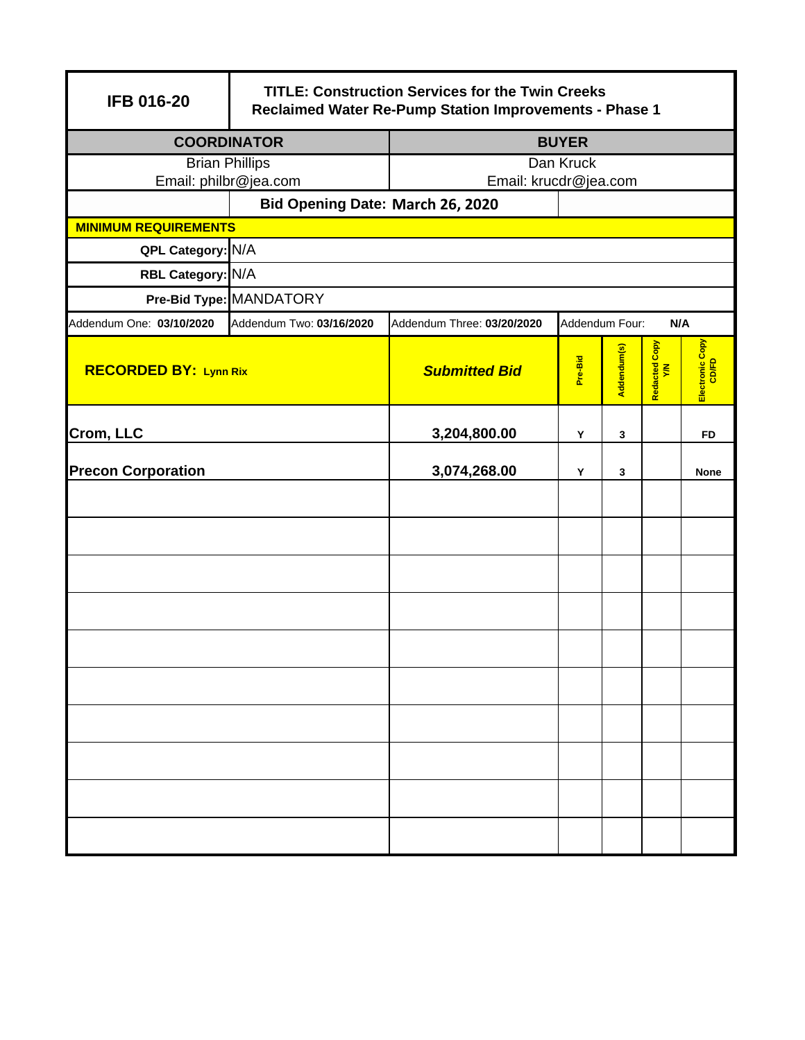| <b>IFB 016-20</b>            |                                  | <b>TITLE: Construction Services for the Twin Creeks</b><br>Reclaimed Water Re-Pump Station Improvements - Phase 1 |                |             |                      |                          |  |
|------------------------------|----------------------------------|-------------------------------------------------------------------------------------------------------------------|----------------|-------------|----------------------|--------------------------|--|
| <b>COORDINATOR</b>           |                                  | <b>BUYER</b>                                                                                                      |                |             |                      |                          |  |
| <b>Brian Phillips</b>        |                                  |                                                                                                                   | Dan Kruck      |             |                      |                          |  |
| Email: philbr@jea.com        |                                  | Email: krucdr@jea.com                                                                                             |                |             |                      |                          |  |
| <b>MINIMUM REQUIREMENTS</b>  | Bid Opening Date: March 26, 2020 |                                                                                                                   |                |             |                      |                          |  |
| QPL Category: N/A            |                                  |                                                                                                                   |                |             |                      |                          |  |
| RBL Category: N/A            |                                  |                                                                                                                   |                |             |                      |                          |  |
|                              | Pre-Bid Type: MANDATORY          |                                                                                                                   |                |             |                      |                          |  |
| Addendum One: 03/10/2020     | Addendum Two: 03/16/2020         |                                                                                                                   | Addendum Four: |             | N/A                  |                          |  |
|                              |                                  | Addendum Three: 03/20/2020                                                                                        |                |             |                      |                          |  |
| <b>RECORDED BY: Lynn Rix</b> |                                  | <b>Submitted Bid</b>                                                                                              | Pre-Bid        | Addendum(s) | Redacted Copy<br>Y/N | Electronic Copy<br>CD/FD |  |
| Crom, LLC                    |                                  | 3,204,800.00                                                                                                      | Y              | 3           |                      | FD                       |  |
| <b>Precon Corporation</b>    |                                  | 3,074,268.00                                                                                                      | Υ              | 3           |                      | <b>None</b>              |  |
|                              |                                  |                                                                                                                   |                |             |                      |                          |  |
|                              |                                  |                                                                                                                   |                |             |                      |                          |  |
|                              |                                  |                                                                                                                   |                |             |                      |                          |  |
|                              |                                  |                                                                                                                   |                |             |                      |                          |  |
|                              |                                  |                                                                                                                   |                |             |                      |                          |  |
|                              |                                  |                                                                                                                   |                |             |                      |                          |  |
|                              |                                  |                                                                                                                   |                |             |                      |                          |  |
|                              |                                  |                                                                                                                   |                |             |                      |                          |  |
|                              |                                  |                                                                                                                   |                |             |                      |                          |  |
|                              |                                  |                                                                                                                   |                |             |                      |                          |  |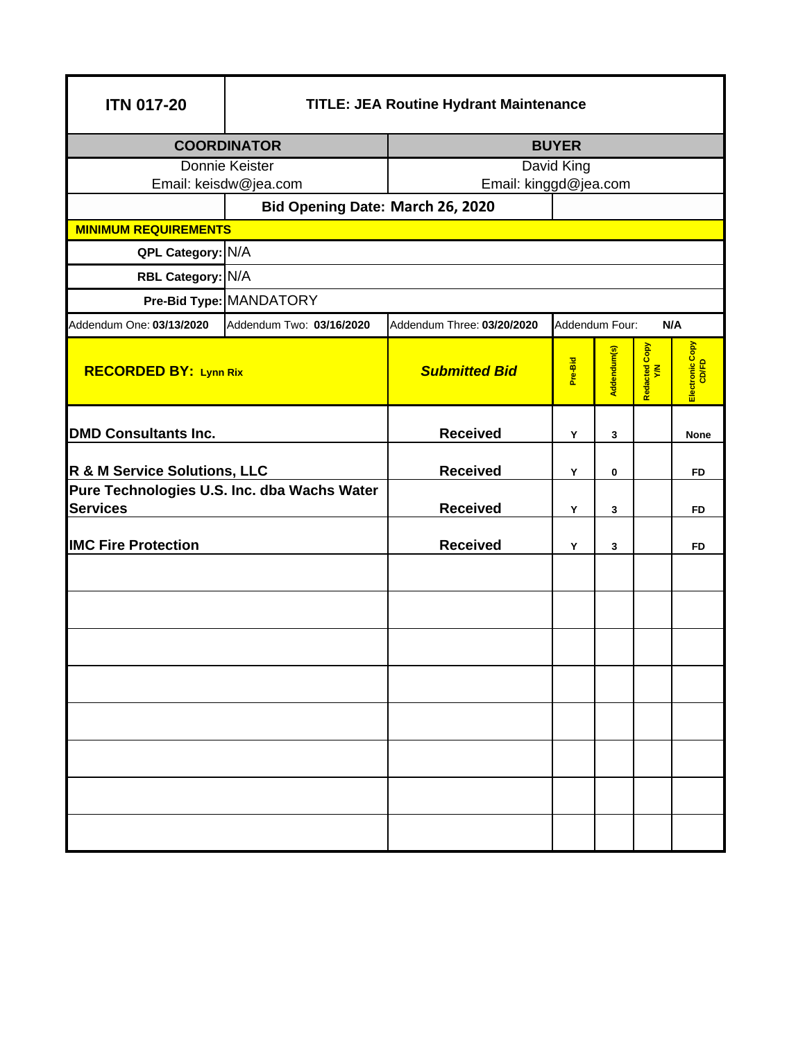| <b>TITLE: JEA Routine Hydrant Maintenance</b> |                                                                                                                                                              |                                                                                                      |   |             |                                                                 |  |  |
|-----------------------------------------------|--------------------------------------------------------------------------------------------------------------------------------------------------------------|------------------------------------------------------------------------------------------------------|---|-------------|-----------------------------------------------------------------|--|--|
| <b>COORDINATOR</b>                            |                                                                                                                                                              | <b>BUYER</b>                                                                                         |   |             |                                                                 |  |  |
| Donnie Keister                                |                                                                                                                                                              | David King                                                                                           |   |             |                                                                 |  |  |
| Email: keisdw@jea.com                         |                                                                                                                                                              |                                                                                                      |   |             |                                                                 |  |  |
|                                               |                                                                                                                                                              |                                                                                                      |   |             |                                                                 |  |  |
|                                               |                                                                                                                                                              |                                                                                                      |   |             |                                                                 |  |  |
|                                               |                                                                                                                                                              |                                                                                                      |   |             |                                                                 |  |  |
|                                               |                                                                                                                                                              |                                                                                                      |   |             |                                                                 |  |  |
|                                               |                                                                                                                                                              |                                                                                                      |   |             |                                                                 |  |  |
|                                               |                                                                                                                                                              | N/A                                                                                                  |   |             |                                                                 |  |  |
| <b>RECORDED BY: Lynn Rix</b>                  | <b>Submitted Bid</b>                                                                                                                                         | Pre-Bid                                                                                              |   |             | Electronic Copy<br>CD/FD                                        |  |  |
| <b>DMD Consultants Inc.</b>                   |                                                                                                                                                              | Y                                                                                                    | 3 |             | <b>None</b>                                                     |  |  |
|                                               | <b>Received</b>                                                                                                                                              | Y                                                                                                    | 0 |             | <b>FD</b>                                                       |  |  |
| Pure Technologies U.S. Inc. dba Wachs Water   |                                                                                                                                                              |                                                                                                      |   |             |                                                                 |  |  |
| <b>Services</b>                               |                                                                                                                                                              | Υ                                                                                                    | 3 |             | FD                                                              |  |  |
|                                               | <b>Received</b>                                                                                                                                              | Y                                                                                                    | 3 |             | FD                                                              |  |  |
|                                               |                                                                                                                                                              |                                                                                                      |   |             |                                                                 |  |  |
|                                               |                                                                                                                                                              |                                                                                                      |   |             |                                                                 |  |  |
|                                               |                                                                                                                                                              |                                                                                                      |   |             |                                                                 |  |  |
|                                               |                                                                                                                                                              |                                                                                                      |   |             |                                                                 |  |  |
|                                               |                                                                                                                                                              |                                                                                                      |   |             |                                                                 |  |  |
|                                               |                                                                                                                                                              |                                                                                                      |   |             |                                                                 |  |  |
|                                               |                                                                                                                                                              |                                                                                                      |   |             |                                                                 |  |  |
|                                               |                                                                                                                                                              |                                                                                                      |   |             |                                                                 |  |  |
|                                               | <b>MINIMUM REQUIREMENTS</b><br>QPL Category: N/A<br>RBL Category: N/A<br>Pre-Bid Type: MANDATORY<br>Addendum Two: 03/16/2020<br>R & M Service Solutions, LLC | Bid Opening Date: March 26, 2020<br>Addendum Three: 03/20/2020<br><b>Received</b><br><b>Received</b> |   | Addendum(s) | Email: kinggd@jea.com<br>Addendum Four:<br>Redacted Copy<br>Y/N |  |  |